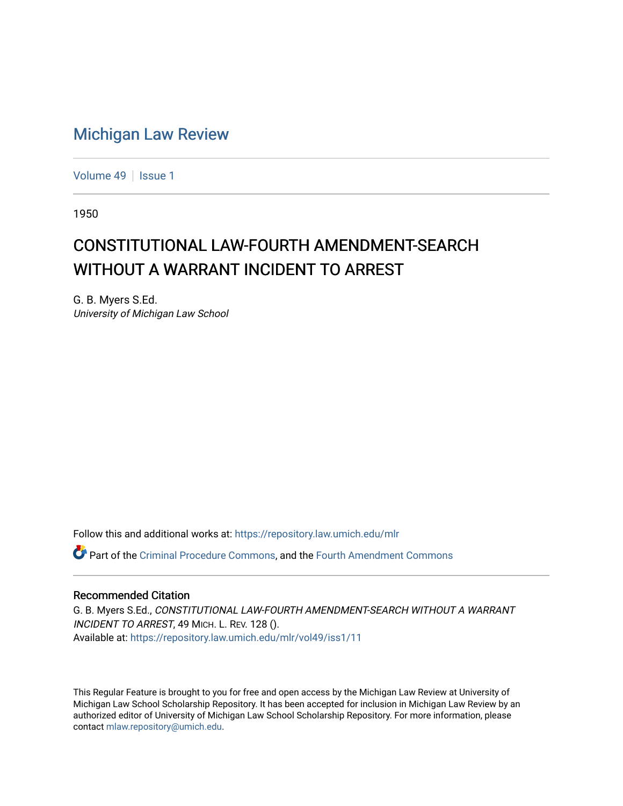## [Michigan Law Review](https://repository.law.umich.edu/mlr)

[Volume 49](https://repository.law.umich.edu/mlr/vol49) | [Issue 1](https://repository.law.umich.edu/mlr/vol49/iss1)

1950

## CONSTITUTIONAL LAW-FOURTH AMENDMENT-SEARCH WITHOUT A WARRANT INCIDENT TO ARREST

G. B. Myers S.Ed. University of Michigan Law School

Follow this and additional works at: [https://repository.law.umich.edu/mlr](https://repository.law.umich.edu/mlr?utm_source=repository.law.umich.edu%2Fmlr%2Fvol49%2Fiss1%2F11&utm_medium=PDF&utm_campaign=PDFCoverPages) 

Part of the [Criminal Procedure Commons,](http://network.bepress.com/hgg/discipline/1073?utm_source=repository.law.umich.edu%2Fmlr%2Fvol49%2Fiss1%2F11&utm_medium=PDF&utm_campaign=PDFCoverPages) and the [Fourth Amendment Commons](http://network.bepress.com/hgg/discipline/1180?utm_source=repository.law.umich.edu%2Fmlr%2Fvol49%2Fiss1%2F11&utm_medium=PDF&utm_campaign=PDFCoverPages) 

## Recommended Citation

G. B. Myers S.Ed., CONSTITUTIONAL LAW-FOURTH AMENDMENT-SEARCH WITHOUT A WARRANT INCIDENT TO ARREST, 49 MICH. L. REV. 128 (). Available at: [https://repository.law.umich.edu/mlr/vol49/iss1/11](https://repository.law.umich.edu/mlr/vol49/iss1/11?utm_source=repository.law.umich.edu%2Fmlr%2Fvol49%2Fiss1%2F11&utm_medium=PDF&utm_campaign=PDFCoverPages) 

This Regular Feature is brought to you for free and open access by the Michigan Law Review at University of Michigan Law School Scholarship Repository. It has been accepted for inclusion in Michigan Law Review by an authorized editor of University of Michigan Law School Scholarship Repository. For more information, please contact [mlaw.repository@umich.edu](mailto:mlaw.repository@umich.edu).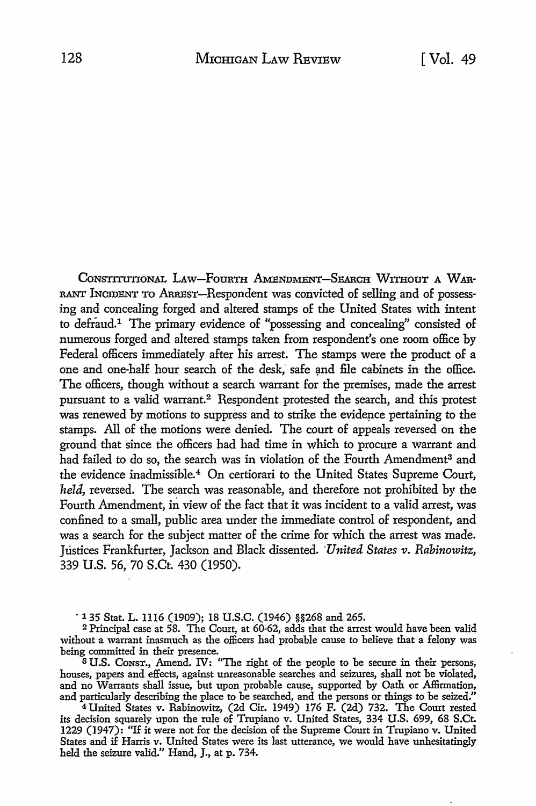CoNSTITUTIONAL LAW-FOURTH AMENDMEN'I'-SEARCH WITHOUT **A w** AR-RANT INCIDENT TO ARREST-Respondent was convicted of selling and of possessing and concealing forged and altered stamps of the United States with intent to defiaud.1 The primary evidence of "possessing and concealing" consisted of numerous forged and altered stamps taken from respondent's one room office by Federal officers immediately after his arrest. The stamps were the product of a one and one-half hour search of the desk, safe and file cabinets in the office. The officers, though without a search warrant for the premises, made the arrest pursuant to a valid warrant.<sup>2</sup> Respondent protested the search, and this protest was renewed by motions to suppress and to strike the evidence pertaining to the stamps. All of the motions were denied. The court of appeals reversed on the ground that since the officers had had time in which to procure a warrant and had failed to do so, the search was in violation of the Fourth Amendment<sup>3</sup> and the evidence inadmissible.4 On certiorari to the United States Supreme Court, *held,* reversed. The search was reasonable, and therefore not prohibited by the Fourth Amendment, in view of the fact that it was incident to a valid arrest, was confined to a small, public area under the immediate control of respondent, and was a search for the subject matter of the crime for which the arrest was made. Justices Frankfurter, Jackson and Black dissented. *·United States v. Rabinowitz,*  339 U.S. 56, 70 S.Ct. 430 (1950).

· 135 Stat. L. 1116 (1909); 18 U.S.C. (1946) §§268 and 265.

<sup>2</sup>Principal case at 58. The Court, at 60-62, adds that the arrest would have been valid without a warrant inasmuch as the officers had probable cause to believe that a felony was being committed in their presence.

<sup>3</sup>U.S. Consr., Amend. IV: "The right of the people to be secure in their persons, houses, papers and effects, against unreasonable searches and seizures, shall not be violated, and no Warrants shall issue, but upon probable cause, supported by Oath or Affirmation, and particularly describing the place to be searched, and the persons or things to be seized."

<sup>4</sup>United States v. Rabinowitz, (2d Cir. 1949) 176 F. (2d) 732. The Court rested its decision squarely upon the rule of Trupiano v. United States, 334 U.S. 699, 68 S.Ct. 1229 (1947): "If it were not for the decision of the Supreme Court in Trupiano v. United States and if Harris v. United States were its last utterance, we would have unhesitatingly held the seizure valid." Hand, J., at p. 734.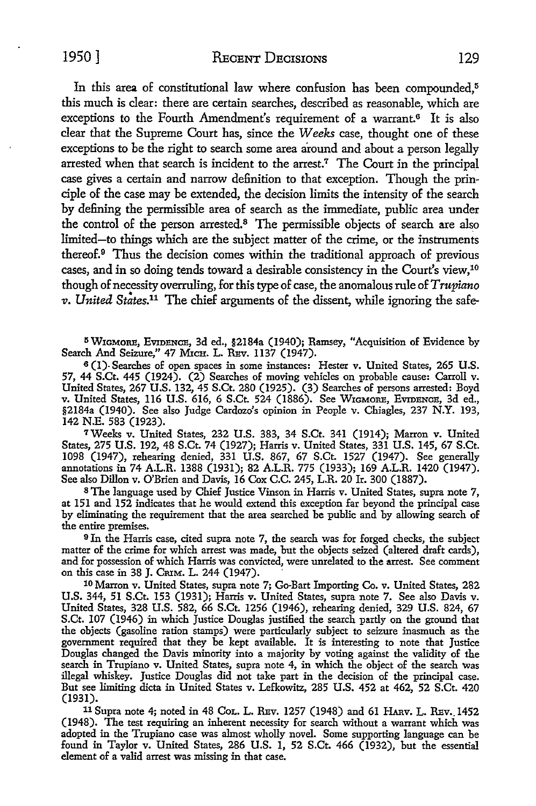1950] RECENT DECISIONS 129

In this area of constitutional law where confusion has been compounded,<sup>5</sup> this much is clear: there are certain searches, described as reasonable, which are exceptions to the Fourth Amendment's requirement of a warrant.<sup>6</sup> It is also clear that the Supreme Court has, since the *Weeks* case, thought one of these exceptions to be the right to search some area around and about a person legally arrested when that search is incident to the arrest.<sup>7</sup> The Court in the principal case gives a certain and narrow definition to that exception. Though the principle of the case may be extended, the decision limits the intensity of the search by defining the permissible area of search as the immediate, public area under the control of the person arrested.<sup>8</sup> The permissible objects of search are also limited-to things which are the subject matter of the crime, or the instruments thereof.<sup>9</sup> Thus the decision comes within the traditional approach of previous cases, and in so doing tends toward a desirable consistency in the Court's view,10 though of necessity overruling, for this type of case, the anomalous rule of *Trupiano*  v. United States.<sup>11</sup> The chief arguments of the dissent, while ignoring the safe-

<sup>5</sup> WIGMORE, EVIDENCE, 3d ed., §2184a (1940); Ramsey, "Acquisition of Evidence by Search And Seizure," 47 MICH. L. REV. 1137 (1947).

<sup>6</sup>(I)- Searches of open spaces in some instances: Hester v. United States, 265 U.S. 57, 44 S.Ct. 445 (1924). (2) Searches of moving vehicles on probable cause: Carroll v. United States, 267 U.S. 132, 45 S.Ct. 280 (1925). (3) Searches of persons arrested: Boyd v. United States, 116 U.S. 616, 6 S.Ct. 524 (1886). See WIGMORE, EvIDENCE, 3d ed., §2184a (1940). See also Judge Cardozo's opinion in People v. Chiagles, 237 N.Y. 193, 142 N.E. 583 (1923).

7Weeks v. United States, 232 U.S. 383, 34 S.Ct. 341 (1914); Marron v. United States, 275 U.S. 192, 48 S.Ct. 74 (1927); Harris v. United States, 331 U.S. 145, 67 S.Ct. 1098 (1947), rehearing denied, 331 U.S. 867, 67 S.Ct. 1527 (1947). See generally annotations in 74 A.L.R. 1388 (1931); 82 A.L.R. 775 (1933); 169 A.L.R. 1420 (1947). See also Dillon v. O'Brien and Davis, 16 Cox C.C. 245, L.R. 20 Ir. 300 (1887).

<sup>8</sup>The language used by Chief Justice Vinson in Harris v. United States, supra note 7, at 151 and 152 indicates that he would extend this exception far beyond the principal case by eliminating the requirement that the area searched be public and by allowing search of the entire premises.

<sup>9</sup>In the Harris case, cited supra note 7, the search was for forged checks, the subject matter of the crime for which arrest was made, but the objects seized (altered draft cards), and for possession of which Harris was convicted, were unrelated to the arrest. See comment on this case in 38 J. CRIM. L. 244 (1947). ·

IO Marron v. United States, supra note 7; Go-Bart Importing Co. v. United States, 282 U.S. 344, 51 S.Ct. 153 (1931); Harris v. United States, supra note 7. See also Davis v. United States, 328 U.S. 582, 66 S.Ct. 1256 (1946), rehearing denied, 329 U.S. 824, 67 S.Ct. 107 (1946) in which Justice Douglas justified the search partly on the ground that the objects (gasoline ration stamps) were particularly subject to seizure inasmuch as the government requixed that they be kept available. It is interesting to note that Justice Douglas changed the Davis minority into a majority by voting against the validity of the search in Trupiano v. United States, supra note 4, in which the object of the search was illegal whiskey. Justice Douglas did not take part in the decision of the principal case. But see limiting dicta in United States v. Lefkowitz, 285 U.S. 452 at 462, 52 S.Ct. 420 (1931).

11 Supra note 4; noted in 48 CoL. L. REv. 1257 (1948) and 61 HARv. L. REv •. 1452 (1948). The test requiring an inherent necessity for search without a warrant which was adopted in the Trupiano case was almost wholly novel. Some supporting language can be found in Taylor v. United States, 286 U.S. 1, 52 S.Ct. 466 (1932), but the essential element of a valid arrest was missing in that case.